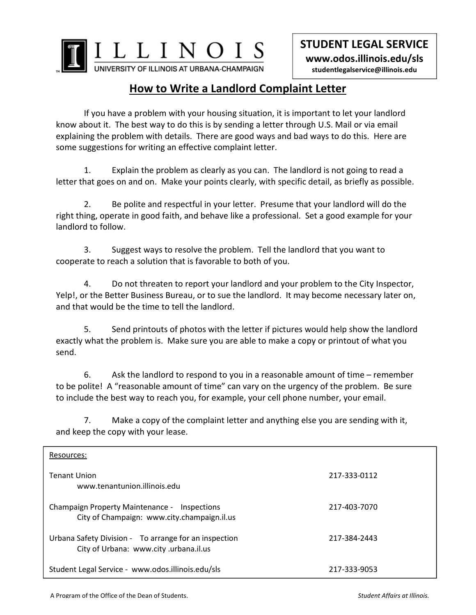

**STUDENT LEGAL SERVICE www.odos.illinois.edu/sls studentlegalservice@illinois.edu** 

## **How to Write a Landlord Complaint Letter**

 If you have a problem with your housing situation, it is important to let your landlord know about it. The best way to do this is by sending a letter through U.S. Mail or via email explaining the problem with details. There are good ways and bad ways to do this. Here are some suggestions for writing an effective complaint letter.

 1. Explain the problem as clearly as you can. The landlord is not going to read a letter that goes on and on. Make your points clearly, with specific detail, as briefly as possible.

 2. Be polite and respectful in your letter. Presume that your landlord will do the right thing, operate in good faith, and behave like a professional. Set a good example for your landlord to follow.

3. Suggest ways to resolve the problem. Tell the landlord that you want to cooperate to reach a solution that is favorable to both of you.

4. Do not threaten to report your landlord and your problem to the City Inspector, Yelp!, or the Better Business Bureau, or to sue the landlord. It may become necessary later on, and that would be the time to tell the landlord.

5. Send printouts of photos with the letter if pictures would help show the landlord exactly what the problem is. Make sure you are able to make a copy or printout of what you send.

6. Ask the landlord to respond to you in a reasonable amount of time – remember to be polite! A "reasonable amount of time" can vary on the urgency of the problem. Be sure to include the best way to reach you, for example, your cell phone number, your email.

7. Make a copy of the complaint letter and anything else you are sending with it, and keep the copy with your lease.

| Resources:                                                                                     |              |
|------------------------------------------------------------------------------------------------|--------------|
| <b>Tenant Union</b><br>www.tenantunion.illinois.edu                                            | 217-333-0112 |
| Champaign Property Maintenance - Inspections<br>City of Champaign: www.city.champaign.il.us    | 217-403-7070 |
| Urbana Safety Division - To arrange for an inspection<br>City of Urbana: www.city.urbana.il.us | 217-384-2443 |
| Student Legal Service - www.odos.illinois.edu/sls                                              | 217-333-9053 |